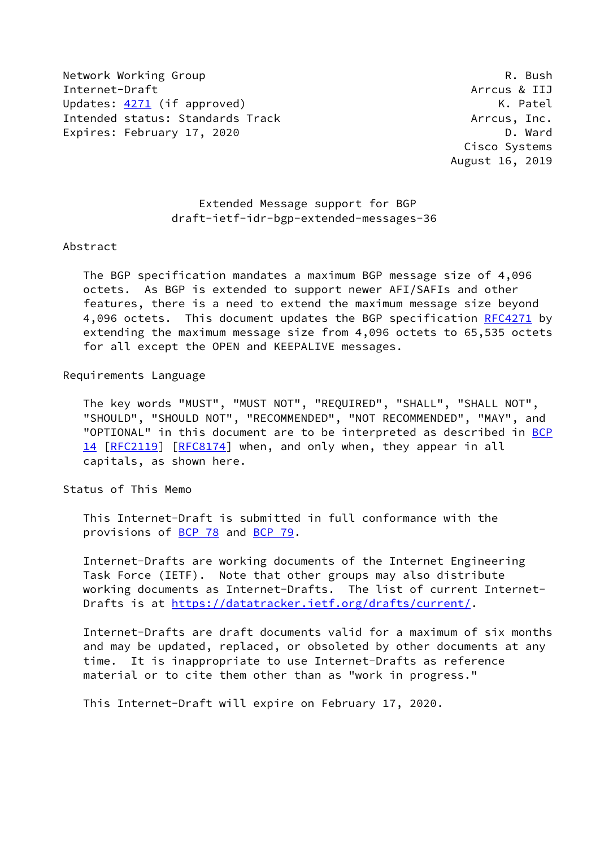Network Working Group **R. Bush** R. Bush Internet-Draft Arrcus & IIJ Updates: [4271](https://datatracker.ietf.org/doc/pdf/rfc4271) (if approved) COME CONSERVITY CONSERVATION CONTROLLER SERVITY OF METAL CONSERVATION CONTROLLER S Intended status: Standards Track Arrcus, Inc. Expires: February 17, 2020 **D. Ward** 

 Cisco Systems August 16, 2019

## Extended Message support for BGP draft-ietf-idr-bgp-extended-messages-36

#### Abstract

 The BGP specification mandates a maximum BGP message size of 4,096 octets. As BGP is extended to support newer AFI/SAFIs and other features, there is a need to extend the maximum message size beyond 4,096 octets. This document updates the BGP specification [RFC4271](https://datatracker.ietf.org/doc/pdf/rfc4271) by extending the maximum message size from 4,096 octets to 65,535 octets for all except the OPEN and KEEPALIVE messages.

## Requirements Language

 The key words "MUST", "MUST NOT", "REQUIRED", "SHALL", "SHALL NOT", "SHOULD", "SHOULD NOT", "RECOMMENDED", "NOT RECOMMENDED", "MAY", and "OPTIONAL" in this document are to be interpreted as described in [BCP](https://datatracker.ietf.org/doc/pdf/bcp14) [14](https://datatracker.ietf.org/doc/pdf/bcp14) [[RFC2119\]](https://datatracker.ietf.org/doc/pdf/rfc2119) [\[RFC8174](https://datatracker.ietf.org/doc/pdf/rfc8174)] when, and only when, they appear in all capitals, as shown here.

Status of This Memo

 This Internet-Draft is submitted in full conformance with the provisions of [BCP 78](https://datatracker.ietf.org/doc/pdf/bcp78) and [BCP 79](https://datatracker.ietf.org/doc/pdf/bcp79).

 Internet-Drafts are working documents of the Internet Engineering Task Force (IETF). Note that other groups may also distribute working documents as Internet-Drafts. The list of current Internet- Drafts is at<https://datatracker.ietf.org/drafts/current/>.

 Internet-Drafts are draft documents valid for a maximum of six months and may be updated, replaced, or obsoleted by other documents at any time. It is inappropriate to use Internet-Drafts as reference material or to cite them other than as "work in progress."

This Internet-Draft will expire on February 17, 2020.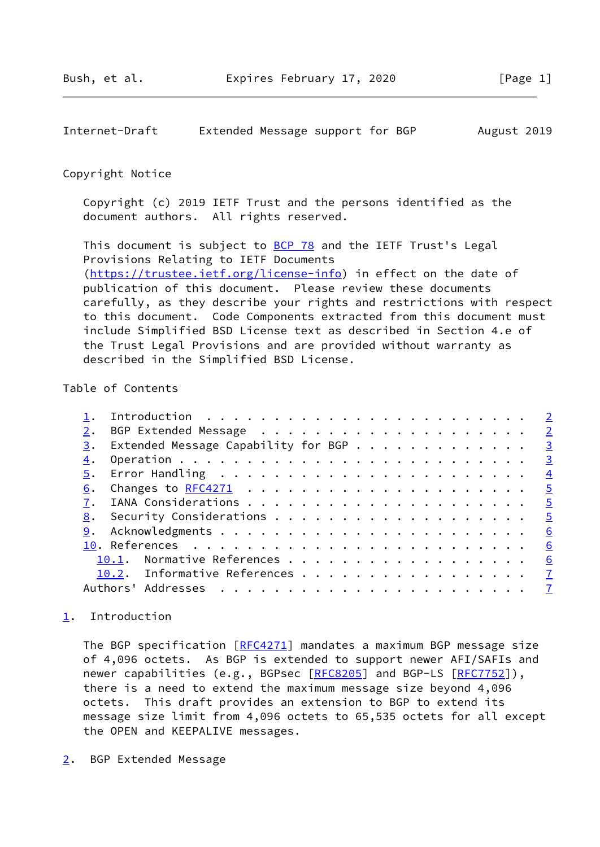<span id="page-1-1"></span>Internet-Draft Extended Message support for BGP August 2019

### Copyright Notice

 Copyright (c) 2019 IETF Trust and the persons identified as the document authors. All rights reserved.

This document is subject to **[BCP 78](https://datatracker.ietf.org/doc/pdf/bcp78)** and the IETF Trust's Legal Provisions Relating to IETF Documents [\(https://trustee.ietf.org/license-info](https://trustee.ietf.org/license-info)) in effect on the date of publication of this document. Please review these documents carefully, as they describe your rights and restrictions with respect to this document. Code Components extracted from this document must include Simplified BSD License text as described in Section 4.e of the Trust Legal Provisions and are provided without warranty as described in the Simplified BSD License.

# Table of Contents

|    | BGP Extended Message <u>2</u>                  |                          |
|----|------------------------------------------------|--------------------------|
| 3. | Extended Message Capability for BGP $\cdots$ 3 |                          |
| 4. |                                                | $\overline{\mathbf{3}}$  |
|    |                                                | $\overline{4}$           |
| 6. |                                                | $\overline{\phantom{0}}$ |
|    |                                                |                          |
|    |                                                |                          |
|    |                                                | 6                        |
|    |                                                | 6                        |
|    | 10.1. Normative References 6                   |                          |
|    | 10.2. Informative References 7                 |                          |
|    |                                                |                          |
|    |                                                |                          |

# <span id="page-1-0"></span>[1](#page-1-0). Introduction

The BGP specification [[RFC4271](https://datatracker.ietf.org/doc/pdf/rfc4271)] mandates a maximum BGP message size of 4,096 octets. As BGP is extended to support newer AFI/SAFIs and newer capabilities (e.g., BGPsec [\[RFC8205](https://datatracker.ietf.org/doc/pdf/rfc8205)] and BGP-LS [[RFC7752](https://datatracker.ietf.org/doc/pdf/rfc7752)]), there is a need to extend the maximum message size beyond 4,096 octets. This draft provides an extension to BGP to extend its message size limit from 4,096 octets to 65,535 octets for all except the OPEN and KEEPALIVE messages.

<span id="page-1-2"></span>[2](#page-1-2). BGP Extended Message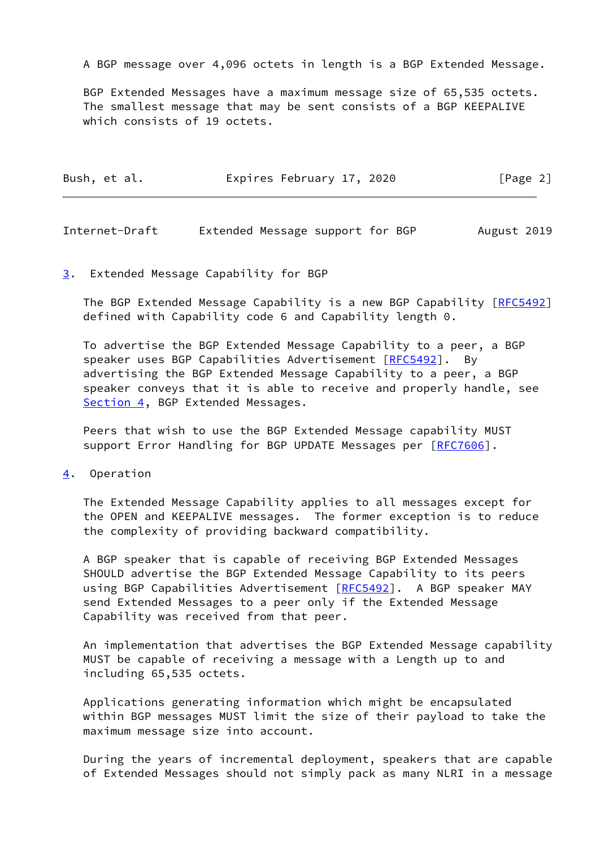A BGP message over 4,096 octets in length is a BGP Extended Message.

 BGP Extended Messages have a maximum message size of 65,535 octets. The smallest message that may be sent consists of a BGP KEEPALIVE which consists of 19 octets.

| Bush, et al. | Expires February 17, 2020 | [Page 2] |
|--------------|---------------------------|----------|
|              |                           |          |

<span id="page-2-1"></span>Internet-Draft Extended Message support for BGP August 2019

#### <span id="page-2-0"></span>[3](#page-2-0). Extended Message Capability for BGP

The BGP Extended Message Capability is a new BGP Capability [\[RFC5492](https://datatracker.ietf.org/doc/pdf/rfc5492)] defined with Capability code 6 and Capability length 0.

 To advertise the BGP Extended Message Capability to a peer, a BGP speaker uses BGP Capabilities Advertisement [\[RFC5492](https://datatracker.ietf.org/doc/pdf/rfc5492)]. By advertising the BGP Extended Message Capability to a peer, a BGP speaker conveys that it is able to receive and properly handle, see [Section 4](#page-2-2), BGP Extended Messages.

 Peers that wish to use the BGP Extended Message capability MUST support Error Handling for BGP UPDATE Messages per [[RFC7606\]](https://datatracker.ietf.org/doc/pdf/rfc7606).

<span id="page-2-2"></span>[4](#page-2-2). Operation

 The Extended Message Capability applies to all messages except for the OPEN and KEEPALIVE messages. The former exception is to reduce the complexity of providing backward compatibility.

 A BGP speaker that is capable of receiving BGP Extended Messages SHOULD advertise the BGP Extended Message Capability to its peers using BGP Capabilities Advertisement [\[RFC5492](https://datatracker.ietf.org/doc/pdf/rfc5492)]. A BGP speaker MAY send Extended Messages to a peer only if the Extended Message Capability was received from that peer.

 An implementation that advertises the BGP Extended Message capability MUST be capable of receiving a message with a Length up to and including 65,535 octets.

 Applications generating information which might be encapsulated within BGP messages MUST limit the size of their payload to take the maximum message size into account.

 During the years of incremental deployment, speakers that are capable of Extended Messages should not simply pack as many NLRI in a message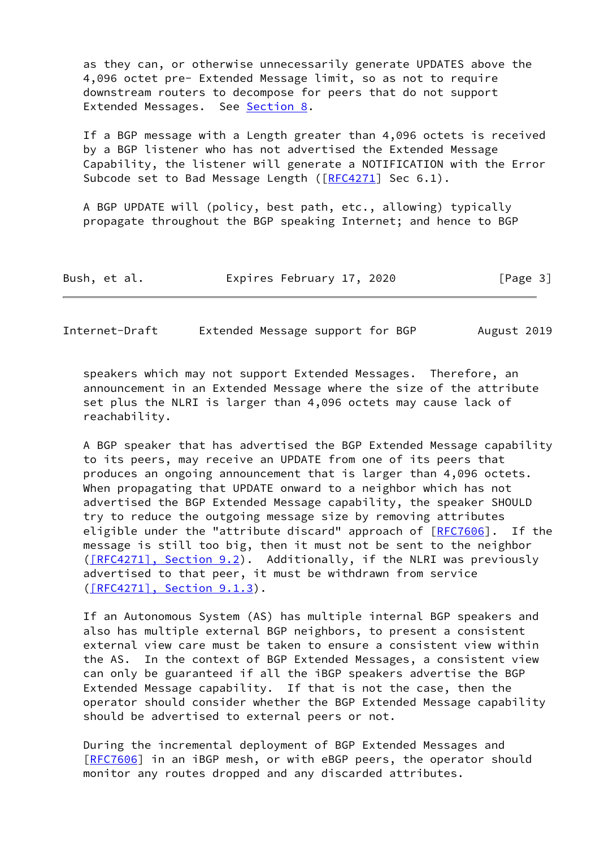as they can, or otherwise unnecessarily generate UPDATES above the 4,096 octet pre- Extended Message limit, so as not to require downstream routers to decompose for peers that do not support Extended Messages. See [Section 8](#page-5-0).

 If a BGP message with a Length greater than 4,096 octets is received by a BGP listener who has not advertised the Extended Message Capability, the listener will generate a NOTIFICATION with the Error Subcode set to Bad Message Length ([[RFC4271\]](https://datatracker.ietf.org/doc/pdf/rfc4271) Sec 6.1).

 A BGP UPDATE will (policy, best path, etc., allowing) typically propagate throughout the BGP speaking Internet; and hence to BGP

| Bush, et al. | Expires February 17, 2020 | [Page 3] |
|--------------|---------------------------|----------|
|--------------|---------------------------|----------|

<span id="page-3-0"></span>Internet-Draft Extended Message support for BGP August 2019

 speakers which may not support Extended Messages. Therefore, an announcement in an Extended Message where the size of the attribute set plus the NLRI is larger than 4,096 octets may cause lack of reachability.

 A BGP speaker that has advertised the BGP Extended Message capability to its peers, may receive an UPDATE from one of its peers that produces an ongoing announcement that is larger than 4,096 octets. When propagating that UPDATE onward to a neighbor which has not advertised the BGP Extended Message capability, the speaker SHOULD try to reduce the outgoing message size by removing attributes eligible under the "attribute discard" approach of  $[REC7606]$ . If the message is still too big, then it must not be sent to the neighbor [\(\[RFC4271\], Section](https://datatracker.ietf.org/doc/pdf/rfc4271#section-9.2) 9.2). Additionally, if the NLRI was previously advertised to that peer, it must be withdrawn from service [\(\[RFC4271\], Section](https://datatracker.ietf.org/doc/pdf/rfc4271#section-9.1.3) 9.1.3).

 If an Autonomous System (AS) has multiple internal BGP speakers and also has multiple external BGP neighbors, to present a consistent external view care must be taken to ensure a consistent view within the AS. In the context of BGP Extended Messages, a consistent view can only be guaranteed if all the iBGP speakers advertise the BGP Extended Message capability. If that is not the case, then the operator should consider whether the BGP Extended Message capability should be advertised to external peers or not.

 During the incremental deployment of BGP Extended Messages and [\[RFC7606](https://datatracker.ietf.org/doc/pdf/rfc7606)] in an iBGP mesh, or with eBGP peers, the operator should monitor any routes dropped and any discarded attributes.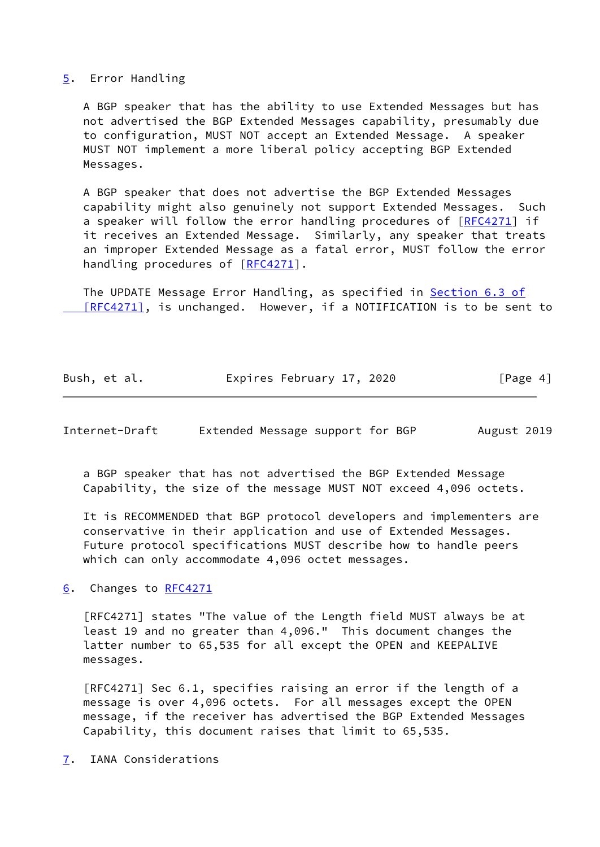#### <span id="page-4-0"></span>[5](#page-4-0). Error Handling

 A BGP speaker that has the ability to use Extended Messages but has not advertised the BGP Extended Messages capability, presumably due to configuration, MUST NOT accept an Extended Message. A speaker MUST NOT implement a more liberal policy accepting BGP Extended Messages.

 A BGP speaker that does not advertise the BGP Extended Messages capability might also genuinely not support Extended Messages. Such a speaker will follow the error handling procedures of  $[RECA271]$  if it receives an Extended Message. Similarly, any speaker that treats an improper Extended Message as a fatal error, MUST follow the error handling procedures of [\[RFC4271](https://datatracker.ietf.org/doc/pdf/rfc4271)].

The UPDATE Message Error Handling, as specified in **[Section](https://datatracker.ietf.org/doc/pdf/rfc4271#section-6.3) 6.3 of**  [\[RFC4271\]](https://datatracker.ietf.org/doc/pdf/rfc4271#section-6.3), is unchanged. However, if a NOTIFICATION is to be sent to

| Bush, et al. | Expires February 17, 2020 | [Page 4] |
|--------------|---------------------------|----------|
|              |                           |          |

<span id="page-4-2"></span>Internet-Draft Extended Message support for BGP August 2019

 a BGP speaker that has not advertised the BGP Extended Message Capability, the size of the message MUST NOT exceed 4,096 octets.

 It is RECOMMENDED that BGP protocol developers and implementers are conservative in their application and use of Extended Messages. Future protocol specifications MUST describe how to handle peers which can only accommodate 4,096 octet messages.

<span id="page-4-1"></span>[6](#page-4-1). Changes to [RFC4271](https://datatracker.ietf.org/doc/pdf/rfc4271)

 [RFC4271] states "The value of the Length field MUST always be at least 19 and no greater than 4,096." This document changes the latter number to 65,535 for all except the OPEN and KEEPALIVE messages.

 [RFC4271] Sec 6.1, specifies raising an error if the length of a message is over 4,096 octets. For all messages except the OPEN message, if the receiver has advertised the BGP Extended Messages Capability, this document raises that limit to 65,535.

<span id="page-4-3"></span>[7](#page-4-3). IANA Considerations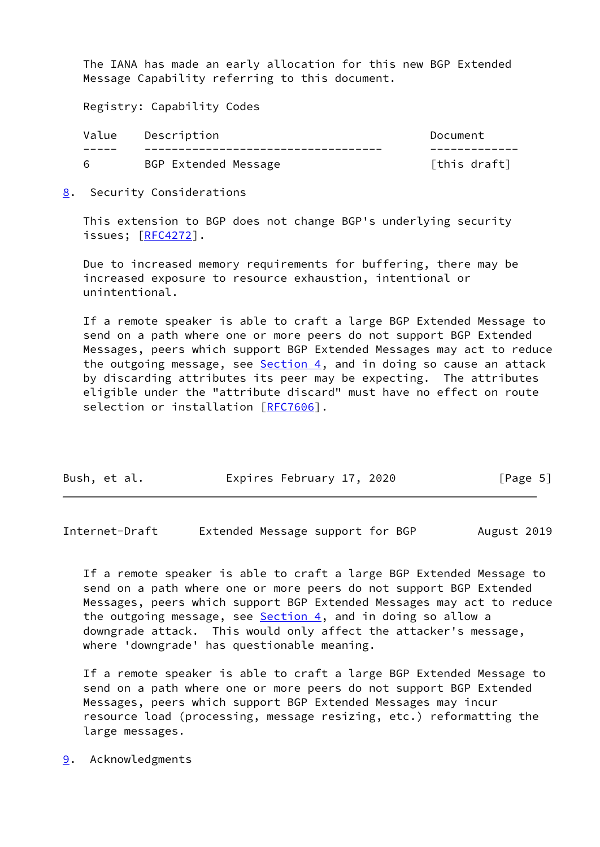The IANA has made an early allocation for this new BGP Extended Message Capability referring to this document.

Registry: Capability Codes

| Value | Description          | Document     |
|-------|----------------------|--------------|
|       |                      |              |
|       | BGP Extended Message | [this draft] |

<span id="page-5-0"></span>[8](#page-5-0). Security Considerations

 This extension to BGP does not change BGP's underlying security issues; [\[RFC4272](https://datatracker.ietf.org/doc/pdf/rfc4272)].

 Due to increased memory requirements for buffering, there may be increased exposure to resource exhaustion, intentional or unintentional.

 If a remote speaker is able to craft a large BGP Extended Message to send on a path where one or more peers do not support BGP Extended Messages, peers which support BGP Extended Messages may act to reduce the outgoing message, see **Section 4**, and in doing so cause an attack by discarding attributes its peer may be expecting. The attributes eligible under the "attribute discard" must have no effect on route selection or installation [[RFC7606](https://datatracker.ietf.org/doc/pdf/rfc7606)].

| Bush, et al. | Expires February 17, 2020 | [Page 5] |
|--------------|---------------------------|----------|
|              |                           |          |

<span id="page-5-2"></span>Internet-Draft Extended Message support for BGP August 2019

 If a remote speaker is able to craft a large BGP Extended Message to send on a path where one or more peers do not support BGP Extended Messages, peers which support BGP Extended Messages may act to reduce the outgoing message, see  $Section 4$ , and in doing so allow a downgrade attack. This would only affect the attacker's message, where 'downgrade' has questionable meaning.

 If a remote speaker is able to craft a large BGP Extended Message to send on a path where one or more peers do not support BGP Extended Messages, peers which support BGP Extended Messages may incur resource load (processing, message resizing, etc.) reformatting the large messages.

<span id="page-5-1"></span>[9](#page-5-1). Acknowledgments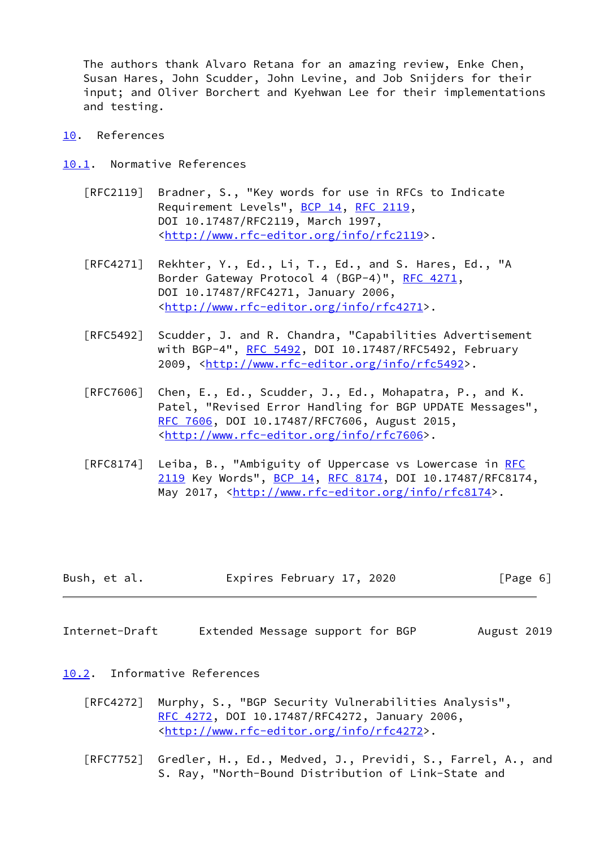The authors thank Alvaro Retana for an amazing review, Enke Chen, Susan Hares, John Scudder, John Levine, and Job Snijders for their input; and Oliver Borchert and Kyehwan Lee for their implementations and testing.

- <span id="page-6-0"></span>[10.](#page-6-0) References
- <span id="page-6-1"></span>[10.1](#page-6-1). Normative References
	- [RFC2119] Bradner, S., "Key words for use in RFCs to Indicate Requirement Levels", [BCP 14](https://datatracker.ietf.org/doc/pdf/bcp14), [RFC 2119](https://datatracker.ietf.org/doc/pdf/rfc2119), DOI 10.17487/RFC2119, March 1997, <<http://www.rfc-editor.org/info/rfc2119>>.
	- [RFC4271] Rekhter, Y., Ed., Li, T., Ed., and S. Hares, Ed., "A Border Gateway Protocol 4 (BGP-4)", [RFC 4271,](https://datatracker.ietf.org/doc/pdf/rfc4271) DOI 10.17487/RFC4271, January 2006, <<http://www.rfc-editor.org/info/rfc4271>>.
	- [RFC5492] Scudder, J. and R. Chandra, "Capabilities Advertisement with BGP-4", [RFC 5492](https://datatracker.ietf.org/doc/pdf/rfc5492), DOI 10.17487/RFC5492, February 2009, [<http://www.rfc-editor.org/info/rfc5492](http://www.rfc-editor.org/info/rfc5492)>.
	- [RFC7606] Chen, E., Ed., Scudder, J., Ed., Mohapatra, P., and K. Patel, "Revised Error Handling for BGP UPDATE Messages", [RFC 7606,](https://datatracker.ietf.org/doc/pdf/rfc7606) DOI 10.17487/RFC7606, August 2015, <<http://www.rfc-editor.org/info/rfc7606>>.
	- [RFC8174] Leiba, B., "Ambiguity of Uppercase vs Lowercase in [RFC](https://datatracker.ietf.org/doc/pdf/rfc2119) [2119](https://datatracker.ietf.org/doc/pdf/rfc2119) Key Words", [BCP 14](https://datatracker.ietf.org/doc/pdf/bcp14), [RFC 8174,](https://datatracker.ietf.org/doc/pdf/rfc8174) DOI 10.17487/RFC8174, May 2017, [<http://www.rfc-editor.org/info/rfc8174](http://www.rfc-editor.org/info/rfc8174)>.

| Bush, et al. | Expires February 17, 2020 | [Page 6] |
|--------------|---------------------------|----------|
|--------------|---------------------------|----------|

<span id="page-6-3"></span>Internet-Draft Extended Message support for BGP August 2019

### <span id="page-6-2"></span>[10.2](#page-6-2). Informative References

- [RFC4272] Murphy, S., "BGP Security Vulnerabilities Analysis", [RFC 4272,](https://datatracker.ietf.org/doc/pdf/rfc4272) DOI 10.17487/RFC4272, January 2006, <<http://www.rfc-editor.org/info/rfc4272>>.
- [RFC7752] Gredler, H., Ed., Medved, J., Previdi, S., Farrel, A., and S. Ray, "North-Bound Distribution of Link-State and